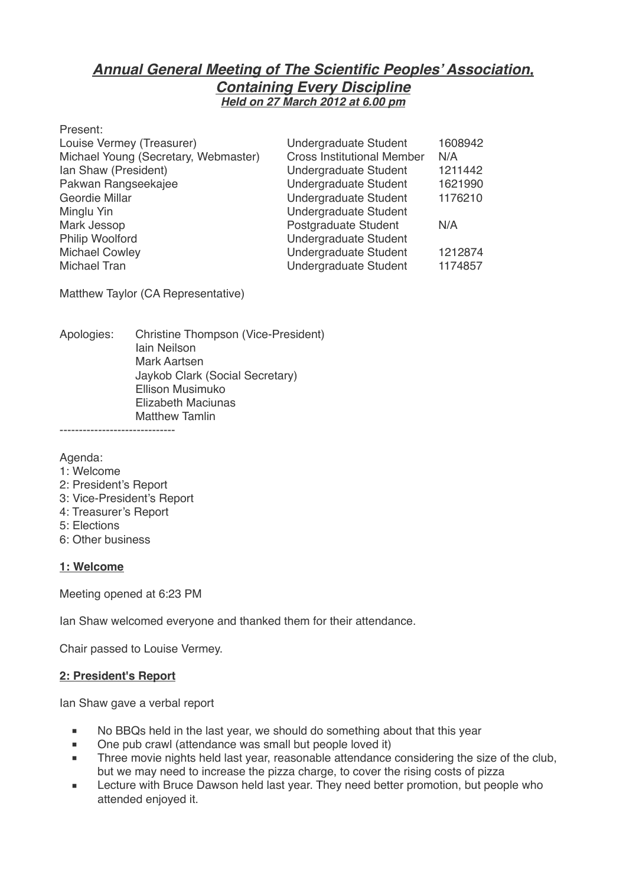# *Annual General Meeting of The Scientific Peoples' Association, Containing Every Discipline Held on 27 March 2012 at 6.00 pm*

| Present:                             |                                   |         |
|--------------------------------------|-----------------------------------|---------|
| Louise Vermey (Treasurer)            | <b>Undergraduate Student</b>      | 1608942 |
| Michael Young (Secretary, Webmaster) | <b>Cross Institutional Member</b> | N/A     |
| Ian Shaw (President)                 | <b>Undergraduate Student</b>      | 1211442 |
| Pakwan Rangseekajee                  | Undergraduate Student             | 1621990 |
| Geordie Millar                       | <b>Undergraduate Student</b>      | 1176210 |
| Minglu Yin                           | <b>Undergraduate Student</b>      |         |
| Mark Jessop                          | Postgraduate Student              | N/A     |
| Philip Woolford                      | <b>Undergraduate Student</b>      |         |
| <b>Michael Cowley</b>                | <b>Undergraduate Student</b>      | 1212874 |
| Michael Tran                         | <b>Undergraduate Student</b>      | 1174857 |
|                                      |                                   |         |

Matthew Taylor (CA Representative)

Apologies: Christine Thompson (Vice-President) lain Neilson **Mark Aartsen** Jaykob Clark (Social Secretary) Ellison Musimuko **Elizabeth Maciunas Matthew Tamlin** ------------------------------

Agenda:

- 1: Welcome
- 2: President's Report
- 3: Vice-President's Report
- 4: Treasurer's Report
- 5: Elections
- 6: Other business

#### **1: Welcome**

Meeting opened at 6:23 PM

Ian Shaw welcomed everyone and thanked them for their attendance.

Chair passed to Louise Vermey.

#### **2: President's Report**

Ian Shaw gave a verbal report

- No BBQs held in the last year, we should do something about that this year
- One pub crawl (attendance was small but people loved it)
- Three movie nights held last year, reasonable attendance considering the size of the club, but we may need to increase the pizza charge, to cover the rising costs of pizza
- Lecture with Bruce Dawson held last year. They need better promotion, but people who attended enjoyed it.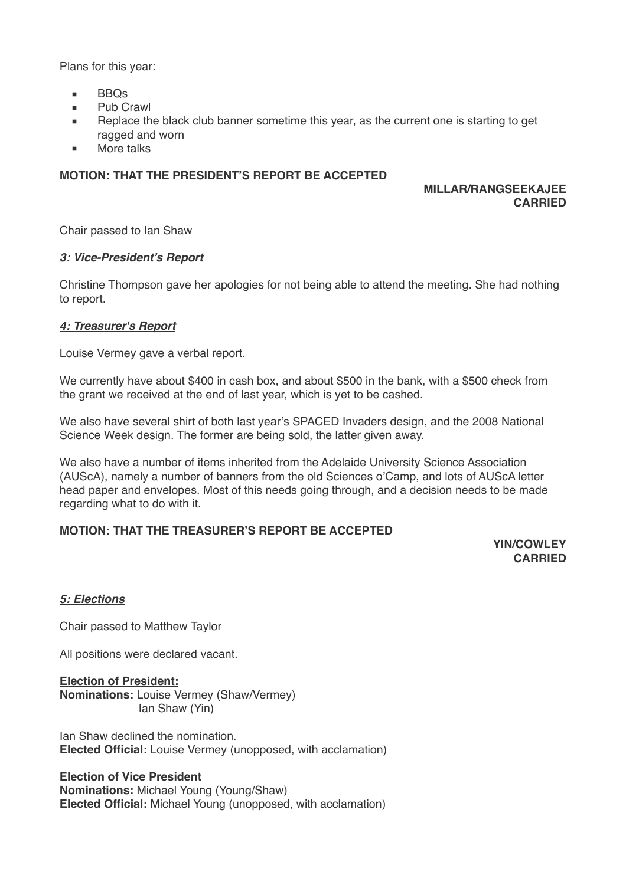Plans for this year:

- BBQs
- Pub Crawl
- Replace the black club banner sometime this year, as the current one is starting to get ragged and worn
- More talks

## **MOTION: THAT THE PRESIDENT'S REPORT BE ACCEPTED**

## **MILLAR/RANGSEEKAJEE CARRIED**

Chair passed to Ian Shaw

## *3: Vice-President's Report*

Christine Thompson gave her apologies for not being able to attend the meeting. She had nothing to report.

## *4: Treasurer's Report*

Louise Vermey gave a verbal report.

We currently have about \$400 in cash box, and about \$500 in the bank, with a \$500 check from the grant we received at the end of last year, which is yet to be cashed.

We also have several shirt of both last year's SPACED Invaders design, and the 2008 National Science Week design. The former are being sold, the latter given away.

We also have a number of items inherited from the Adelaide University Science Association (AUScA), namely a number of banners from the old Sciences o'Camp, and lots of AUScA letter head paper and envelopes. Most of this needs going through, and a decision needs to be made regarding what to do with it.

## **MOTION: THAT THE TREASURER'S REPORT BE ACCEPTED**

**YIN/COWLEY CARRIED**

## *5: Elections*

Chair passed to Matthew Taylor

All positions were declared vacant.

**Election of President: Nominations:** Louise Vermey (Shaw/Vermey) lan Shaw (Yin)

Ian Shaw declined the nomination. **Elected Official:** Louise Vermey (unopposed, with acclamation)

## **Election of Vice President**

**Nominations:** Michael Young (Young/Shaw) **Elected Official:** Michael Young (unopposed, with acclamation)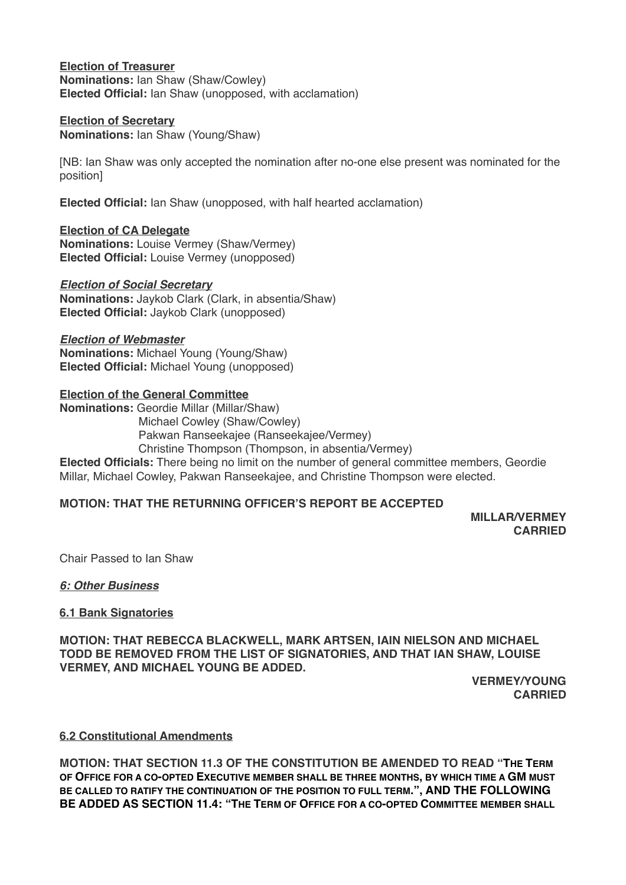**Election of Treasurer Nominations:** Ian Shaw (Shaw/Cowley) **Elected Official:** Ian Shaw (unopposed, with acclamation)

## **Election of Secretary**

**Nominations:** Ian Shaw (Young/Shaw)

[NB: Ian Shaw was only accepted the nomination after no-one else present was nominated for the position]

**Elected Official:** Ian Shaw (unopposed, with half hearted acclamation)

**Election of CA Delegate Nominations:** Louise Vermey (Shaw/Vermey) **Elected Official:** Louise Vermey (unopposed)

#### *Election of Social Secretary*

**Nominations:** Jaykob Clark (Clark, in absentia/Shaw) **Elected Official:** Jaykob Clark (unopposed)

*Election of Webmaster* **Nominations:** Michael Young (Young/Shaw) **Elected Official:** Michael Young (unopposed)

#### **Election of the General Committee**

**Nominations:** Geordie Millar (Millar/Shaw) Michael Cowley (Shaw/Cowley) Pakwan Ranseekajee (Ranseekajee/Vermey) Christine Thompson (Thompson, in absentia/Vermey) **Elected Officials:** There being no limit on the number of general committee members, Geordie Millar, Michael Cowley, Pakwan Ranseekajee, and Christine Thompson were elected.

## **MOTION: THAT THE RETURNING OFFICER'S REPORT BE ACCEPTED**

**MILLAR/VERMEY CARRIED**

Chair Passed to Ian Shaw

#### *6: Other Business*

#### **6.1 Bank Signatories**

**MOTION: THAT REBECCA BLACKWELL, MARK ARTSEN, IAIN NIELSON AND MICHAEL TODD BE REMOVED FROM THE LIST OF SIGNATORIES, AND THAT IAN SHAW, LOUISE VERMEY, AND MICHAEL YOUNG BE ADDED.**

> **VERMEY/YOUNG CARRIED**

**6.2 Constitutional Amendments**

**MOTION: THAT SECTION 11.3 OF THE CONSTITUTION BE AMENDED TO READ "THE TERM OF OFFICE FOR A CO-OPTED EXECUTIVE MEMBER SHALL BE THREE MONTHS, BY WHICH TIME A GM MUST BE CALLED TO RATIFY THE CONTINUATION OF THE POSITION TO FULL TERM.", AND THE FOLLOWING BE ADDED AS SECTION 11.4: "THE TERM OF OFFICE FOR A CO-OPTED COMMITTEE MEMBER SHALL**